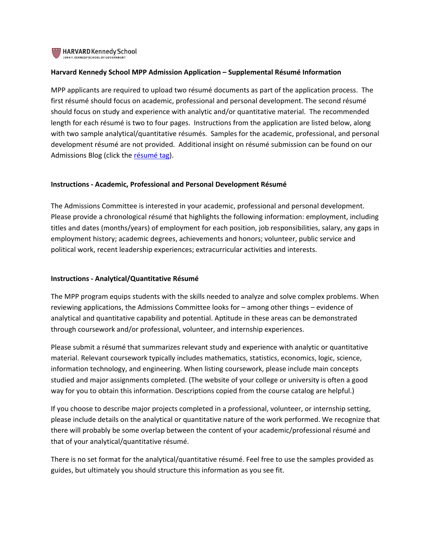

# **Harvard Kennedy School MPP Admission Application – Supplemental Résumé Information**

MPP applicants are required to upload two résumé documents as part of the application process. The first résumé should focus on academic, professional and personal development. The second résumé should focus on study and experience with analytic and/or quantitative material. The recommended length for each résumé is two to four pages. Instructions from the application are listed below, along with two sample analytical/quantitative résumés. Samples for the academic, professional, and personal development résumé are not provided. Additional insight on résumé submission can be found on our Admissions Blog (click the [résumé](http://hksadmissionblog.tumblr.com/tagged/resume) tag).

# **Instructions ‐ Academic, Professional and Personal Development Résumé**

The Admissions Committee is interested in your academic, professional and personal development. Please provide a chronological résumé that highlights the following information: employment, including titles and dates (months/years) of employment for each position, job responsibilities, salary, any gaps in employment history; academic degrees, achievements and honors; volunteer, public service and political work, recent leadership experiences; extracurricular activities and interests.

## **Instructions ‐ Analytical/Quantitative Résumé**

The MPP program equips students with the skills needed to analyze and solve complex problems. When reviewing applications, the Admissions Committee looks for – among other things – evidence of analytical and quantitative capability and potential. Aptitude in these areas can be demonstrated through coursework and/or professional, volunteer, and internship experiences.

Please submit a résumé that summarizes relevant study and experience with analytic or quantitative material. Relevant coursework typically includes mathematics, statistics, economics, logic, science, information technology, and engineering. When listing coursework, please include main concepts studied and major assignments completed. (The website of your college or university is often a good way for you to obtain this information. Descriptions copied from the course catalog are helpful.)

If you choose to describe major projects completed in a professional, volunteer, or internship setting, please include details on the analytical or quantitative nature of the work performed. We recognize that there will probably be some overlap between the content of your academic/professional résumé and that of your analytical/quantitative résumé.

There is no set format for the analytical/quantitative résumé. Feel free to use the samples provided as guides, but ultimately you should structure this information as you see fit.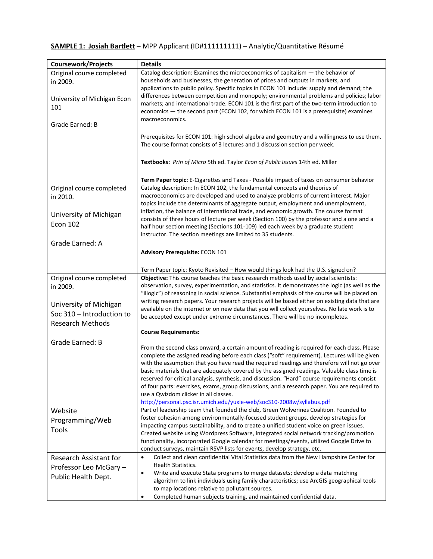# **SAMPLE 1: Josiah Bartlett** – MPP Applicant (ID#111111111) – Analytic/Quantitative Résumé

| Coursework/Projects                                                                                                     | <b>Details</b>                                                                                                                                                                                                                                                                                                                                                                                                                                                                                                                                                                                                                                                                                                  |
|-------------------------------------------------------------------------------------------------------------------------|-----------------------------------------------------------------------------------------------------------------------------------------------------------------------------------------------------------------------------------------------------------------------------------------------------------------------------------------------------------------------------------------------------------------------------------------------------------------------------------------------------------------------------------------------------------------------------------------------------------------------------------------------------------------------------------------------------------------|
| Original course completed<br>in 2009.<br>University of Michigan Econ                                                    | Catalog description: Examines the microeconomics of capitalism - the behavior of<br>households and businesses, the generation of prices and outputs in markets, and<br>applications to public policy. Specific topics in ECON 101 include: supply and demand; the<br>differences between competition and monopoly; environmental problems and policies; labor<br>markets; and international trade. ECON 101 is the first part of the two-term introduction to                                                                                                                                                                                                                                                   |
| 101                                                                                                                     | economics - the second part (ECON 102, for which ECON 101 is a prerequisite) examines<br>macroeconomics.                                                                                                                                                                                                                                                                                                                                                                                                                                                                                                                                                                                                        |
| Grade Earned: B                                                                                                         |                                                                                                                                                                                                                                                                                                                                                                                                                                                                                                                                                                                                                                                                                                                 |
|                                                                                                                         | Prerequisites for ECON 101: high school algebra and geometry and a willingness to use them.<br>The course format consists of 3 lectures and 1 discussion section per week.                                                                                                                                                                                                                                                                                                                                                                                                                                                                                                                                      |
|                                                                                                                         | Textbooks: Prin of Micro 5th ed. Taylor Econ of Public Issues 14th ed. Miller                                                                                                                                                                                                                                                                                                                                                                                                                                                                                                                                                                                                                                   |
|                                                                                                                         | Term Paper topic: E-Cigarettes and Taxes - Possible impact of taxes on consumer behavior                                                                                                                                                                                                                                                                                                                                                                                                                                                                                                                                                                                                                        |
| Original course completed                                                                                               | Catalog description: In ECON 102, the fundamental concepts and theories of                                                                                                                                                                                                                                                                                                                                                                                                                                                                                                                                                                                                                                      |
| in 2010.                                                                                                                | macroeconomics are developed and used to analyze problems of current interest. Major                                                                                                                                                                                                                                                                                                                                                                                                                                                                                                                                                                                                                            |
| University of Michigan<br><b>Econ 102</b>                                                                               | topics include the determinants of aggregate output, employment and unemployment,<br>inflation, the balance of international trade, and economic growth. The course format<br>consists of three hours of lecture per week (Section 100) by the professor and a one and a<br>half hour section meeting (Sections 101-109) led each week by a graduate student<br>instructor. The section meetings are limited to 35 students.                                                                                                                                                                                                                                                                                    |
| Grade Earned: A                                                                                                         |                                                                                                                                                                                                                                                                                                                                                                                                                                                                                                                                                                                                                                                                                                                 |
|                                                                                                                         | <b>Advisory Prerequisite: ECON 101</b>                                                                                                                                                                                                                                                                                                                                                                                                                                                                                                                                                                                                                                                                          |
|                                                                                                                         | Term Paper topic: Kyoto Revisited - How would things look had the U.S. signed on?                                                                                                                                                                                                                                                                                                                                                                                                                                                                                                                                                                                                                               |
| Original course completed<br>in 2009.<br>University of Michigan<br>Soc 310 - Introduction to<br><b>Research Methods</b> | Objective: This course teaches the basic research methods used by social scientists:<br>observation, survey, experimentation, and statistics. It demonstrates the logic (as well as the<br>"illogic") of reasoning in social science. Substantial emphasis of the course will be placed on<br>writing research papers. Your research projects will be based either on existing data that are<br>available on the internet or on new data that you will collect yourselves. No late work is to<br>be accepted except under extreme circumstances. There will be no incompletes.                                                                                                                                  |
|                                                                                                                         | <b>Course Requirements:</b>                                                                                                                                                                                                                                                                                                                                                                                                                                                                                                                                                                                                                                                                                     |
| Grade Earned: B                                                                                                         | From the second class onward, a certain amount of reading is required for each class. Please<br>complete the assigned reading before each class ("soft" requirement). Lectures will be given<br>with the assumption that you have read the required readings and therefore will not go over<br>basic materials that are adequately covered by the assigned readings. Valuable class time is<br>reserved for critical analysis, synthesis, and discussion. "Hard" course requirements consist<br>of four parts: exercises, exams, group discussions, and a research paper. You are required to<br>use a Qwizdom clicker in all classes.<br>http://personal.psc.isr.umich.edu/yuxie-web/soc310-2008w/syllabus.pdf |
| Website                                                                                                                 | Part of leadership team that founded the club, Green Wolverines Coalition. Founded to                                                                                                                                                                                                                                                                                                                                                                                                                                                                                                                                                                                                                           |
| Programming/Web                                                                                                         | foster cohesion among environmentally-focused student groups, develop strategies for                                                                                                                                                                                                                                                                                                                                                                                                                                                                                                                                                                                                                            |
| <b>Tools</b>                                                                                                            | impacting campus sustainability, and to create a unified student voice on green issues.<br>Created website using Wordpress Software, integrated social network tracking/promotion                                                                                                                                                                                                                                                                                                                                                                                                                                                                                                                               |
|                                                                                                                         | functionality, incorporated Google calendar for meetings/events, utilized Google Drive to<br>conduct surveys, maintain RSVP lists for events, develop strategy, etc.                                                                                                                                                                                                                                                                                                                                                                                                                                                                                                                                            |
| Research Assistant for                                                                                                  | Collect and clean confidential Vital Statistics data from the New Hampshire Center for<br>$\bullet$                                                                                                                                                                                                                                                                                                                                                                                                                                                                                                                                                                                                             |
| Professor Leo McGary -                                                                                                  | <b>Health Statistics.</b>                                                                                                                                                                                                                                                                                                                                                                                                                                                                                                                                                                                                                                                                                       |
| Public Health Dept.                                                                                                     | Write and execute Stata programs to merge datasets; develop a data matching<br>$\bullet$                                                                                                                                                                                                                                                                                                                                                                                                                                                                                                                                                                                                                        |
|                                                                                                                         | algorithm to link individuals using family characteristics; use ArcGIS geographical tools                                                                                                                                                                                                                                                                                                                                                                                                                                                                                                                                                                                                                       |
|                                                                                                                         | to map locations relative to pollutant sources.                                                                                                                                                                                                                                                                                                                                                                                                                                                                                                                                                                                                                                                                 |
|                                                                                                                         | Completed human subjects training, and maintained confidential data.<br>$\bullet$                                                                                                                                                                                                                                                                                                                                                                                                                                                                                                                                                                                                                               |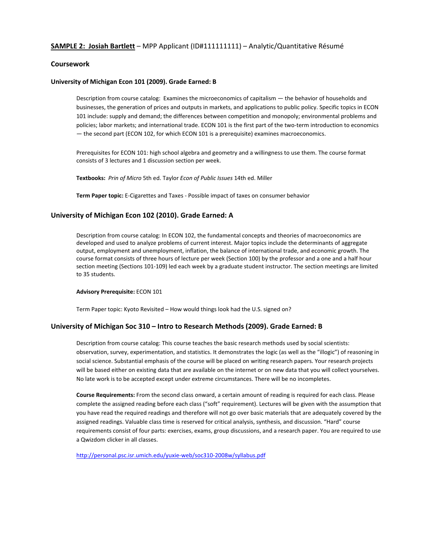## **SAMPLE 2: Josiah Bartlett** – MPP Applicant (ID#111111111) – Analytic/Quantitative Résumé

## **Coursework**

#### **University of Michigan Econ 101 (2009). Grade Earned: B**

Description from course catalog: Examines the microeconomics of capitalism — the behavior of households and businesses, the generation of prices and outputs in markets, and applications to public policy. Specific topics in ECON 101 include: supply and demand; the differences between competition and monopoly; environmental problems and policies; labor markets; and international trade. ECON 101 is the first part of the two-term introduction to economics — the second part (ECON 102, for which ECON 101 is a prerequisite) examines macroeconomics.

Prerequisites for ECON 101: high school algebra and geometry and a willingness to use them. The course format consists of 3 lectures and 1 discussion section per week.

**Textbooks:** *Prin of Micro* 5th ed. Taylor *Econ of Public Issues* 14th ed. Miller

**Term Paper topic:** E‐Cigarettes and Taxes ‐ Possible impact of taxes on consumer behavior

#### **University of Michigan Econ 102 (2010). Grade Earned: A**

Description from course catalog: In ECON 102, the fundamental concepts and theories of macroeconomics are developed and used to analyze problems of current interest. Major topics include the determinants of aggregate output, employment and unemployment, inflation, the balance of international trade, and economic growth. The course format consists of three hours of lecture per week (Section 100) by the professor and a one and a half hour section meeting (Sections 101-109) led each week by a graduate student instructor. The section meetings are limited to 35 students.

#### **Advisory Prerequisite:** ECON 101

Term Paper topic: Kyoto Revisited – How would things look had the U.S. signed on?

#### **University of Michigan Soc 310 – Intro to Research Methods (2009). Grade Earned: B**

Description from course catalog: This course teaches the basic research methods used by social scientists: observation, survey, experimentation, and statistics. It demonstrates the logic (as well as the "illogic") of reasoning in social science. Substantial emphasis of the course will be placed on writing research papers. Your research projects will be based either on existing data that are available on the internet or on new data that you will collect yourselves. No late work is to be accepted except under extreme circumstances. There will be no incompletes.

**Course Requirements:** From the second class onward, a certain amount of reading is required for each class. Please complete the assigned reading before each class ("soft" requirement). Lectures will be given with the assumption that you have read the required readings and therefore will not go over basic materials that are adequately covered by the assigned readings. Valuable class time is reserved for critical analysis, synthesis, and discussion. "Hard" course requirements consist of four parts: exercises, exams, group discussions, and a research paper. You are required to use a Qwizdom clicker in all classes.

http://personal.psc.isr.umich.edu/yuxie‐web/soc310‐2008w/syllabus.pdf